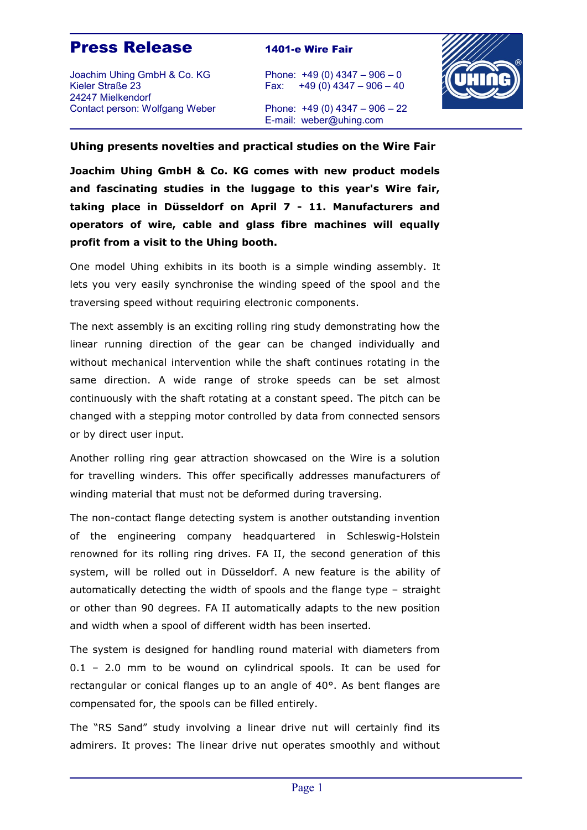## **Press Release** 1401-e Wire Fair

Joachim Uhing GmbH & Co. KG Phone: +49 (0) 4347 – 906 – 0 Kieler Straße 23 Fax: +49 (0) 4347 – 906 – 40 24247 Mielkendorf Contact person: Wolfgang Weber Phone: +49 (0) 4347 – 906 – 22



E-mail: weber@uhing.com

## **Uhing presents novelties and practical studies on the Wire Fair**

**Joachim Uhing GmbH & Co. KG comes with new product models and fascinating studies in the luggage to this year's Wire fair, taking place in Düsseldorf on April 7 - 11. Manufacturers and operators of wire, cable and glass fibre machines will equally profit from a visit to the Uhing booth.**

One model Uhing exhibits in its booth is a simple winding assembly. It lets you very easily synchronise the winding speed of the spool and the traversing speed without requiring electronic components.

The next assembly is an exciting rolling ring study demonstrating how the linear running direction of the gear can be changed individually and without mechanical intervention while the shaft continues rotating in the same direction. A wide range of stroke speeds can be set almost continuously with the shaft rotating at a constant speed. The pitch can be changed with a stepping motor controlled by data from connected sensors or by direct user input.

Another rolling ring gear attraction showcased on the Wire is a solution for travelling winders. This offer specifically addresses manufacturers of winding material that must not be deformed during traversing.

The non-contact flange detecting system is another outstanding invention of the engineering company headquartered in Schleswig-Holstein renowned for its rolling ring drives. FA II, the second generation of this system, will be rolled out in Düsseldorf. A new feature is the ability of automatically detecting the width of spools and the flange type – straight or other than 90 degrees. FA II automatically adapts to the new position and width when a spool of different width has been inserted.

The system is designed for handling round material with diameters from 0.1 – 2.0 mm to be wound on cylindrical spools. It can be used for rectangular or conical flanges up to an angle of 40°. As bent flanges are compensated for, the spools can be filled entirely.

The "RS Sand" study involving a linear drive nut will certainly find its admirers. It proves: The linear drive nut operates smoothly and without